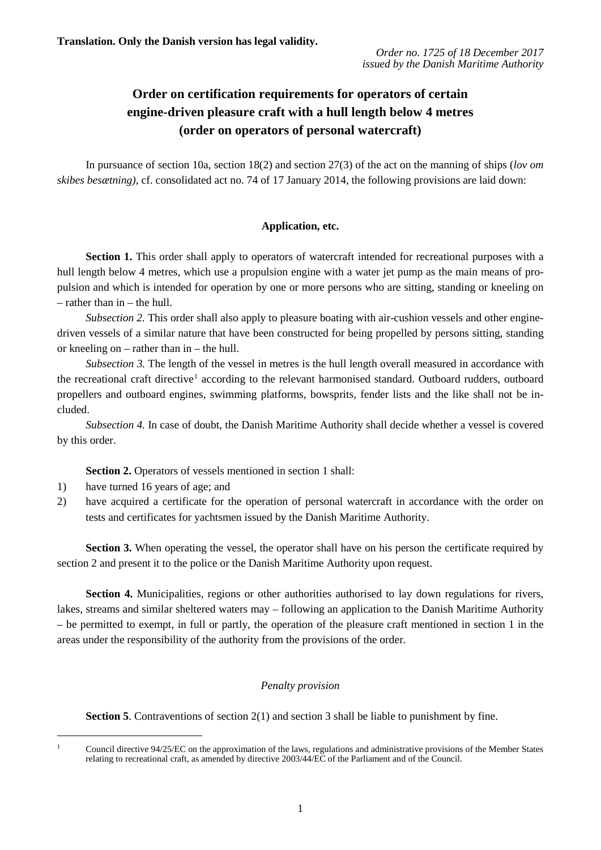# **Order on certification requirements for operators of certain engine-driven pleasure craft with a hull length below 4 metres (order on operators of personal watercraft)**

In pursuance of section 10a, section 18(2) and section 27(3) of the act on the manning of ships (*lov om skibes besætning)*, cf. consolidated act no. 74 of 17 January 2014, the following provisions are laid down:

## **Application, etc.**

Section 1. This order shall apply to operators of watercraft intended for recreational purposes with a hull length below 4 metres, which use a propulsion engine with a water jet pump as the main means of propulsion and which is intended for operation by one or more persons who are sitting, standing or kneeling on – rather than in – the hull.

*Subsection 2.* This order shall also apply to pleasure boating with air-cushion vessels and other enginedriven vessels of a similar nature that have been constructed for being propelled by persons sitting, standing or kneeling on – rather than in – the hull.

*Subsection 3.* The length of the vessel in metres is the hull length overall measured in accordance with the recreational craft directive<sup>1</sup> according to the relevant harmonised standard. Outboard rudders, outboard propellers and outboard engines, swimming platforms, bowsprits, fender lists and the like shall not be included.

*Subsection 4.* In case of doubt, the Danish Maritime Authority shall decide whether a vessel is covered by this order.

**Section 2.** Operators of vessels mentioned in section 1 shall:

- 1) have turned 16 years of age; and
- 2) have acquired a certificate for the operation of personal watercraft in accordance with the order on tests and certificates for yachtsmen issued by the Danish Maritime Authority.

**Section 3.** When operating the vessel, the operator shall have on his person the certificate required by section 2 and present it to the police or the Danish Maritime Authority upon request.

Section 4. Municipalities, regions or other authorities authorised to lay down regulations for rivers, lakes, streams and similar sheltered waters may – following an application to the Danish Maritime Authority – be permitted to exempt, in full or partly, the operation of the pleasure craft mentioned in section 1 in the areas under the responsibility of the authority from the provisions of the order.

## *Penalty provision*

**Section 5**. Contraventions of section 2(1) and section 3 shall be liable to punishment by fine.

<span id="page-0-0"></span><sup>&</sup>lt;sup>1</sup> Council directive 94/25/EC on the approximation of the laws, regulations and administrative provisions of the Member States relating to recreational craft, as amended by directive 2003/44/EC of the Parliament and of the Council.